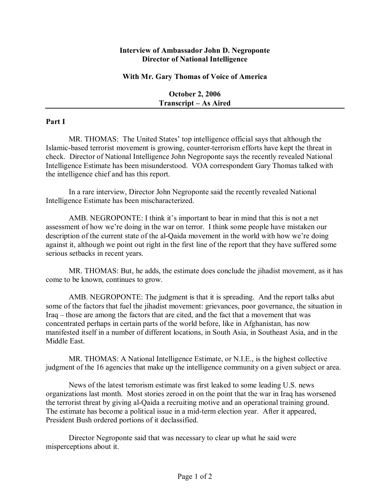## **Interview of Ambassador John D. Negroponte Director of National Intelligence**

## **With Mr. Gary Thomas of Voice of America**

**October 2, 2006 Transcript – As Aired** 

## **Part I**

MR. THOMAS: The United States' top intelligence official says that although the Islamic-based terrorist movement is growing, counter-terrorism efforts have kept the threat in check. Director of National Intelligence John Negroponte says the recently revealed National Intelligence Estimate has been misunderstood. VOA correspondent Gary Thomas talked with the intelligence chief and has this report.

In a rare interview, Director John Negroponte said the recently revealed National Intelligence Estimate has been mischaracterized.

AMB. NEGROPONTE: I think it's important to bear in mind that this is not a net assessment of how we're doing in the war on terror. I think some people have mistaken our description of the current state of the al-Qaida movement in the world with how we're doing against it, although we point out right in the first line of the report that they have suffered some serious setbacks in recent years.

MR. THOMAS: But, he adds, the estimate does conclude the jihadist movement, as it has come to be known, continues to grow.

AMB. NEGROPONTE: The judgment is that it is spreading. And the report talks abut some of the factors that fuel the jihadist movement: grievances, poor governance, the situation in Iraq – those are among the factors that are cited, and the fact that a movement that was concentrated perhaps in certain parts of the world before, like in Afghanistan, has now manifested itself in a number of different locations, in South Asia, in Southeast Asia, and in the Middle East.

MR. THOMAS: A National Intelligence Estimate, or N.I.E., is the highest collective judgment of the 16 agencies that make up the intelligence community on a given subject or area.

News of the latest terrorism estimate was first leaked to some leading U.S. news organizations last month. Most stories zeroed in on the point that the war in Iraq has worsened the terrorist threat by giving al-Qaida a recruiting motive and an operational training ground. The estimate has become a political issue in a mid-term election year. After it appeared, President Bush ordered portions of it declassified.

Director Negroponte said that was necessary to clear up what he said were misperceptions about it.